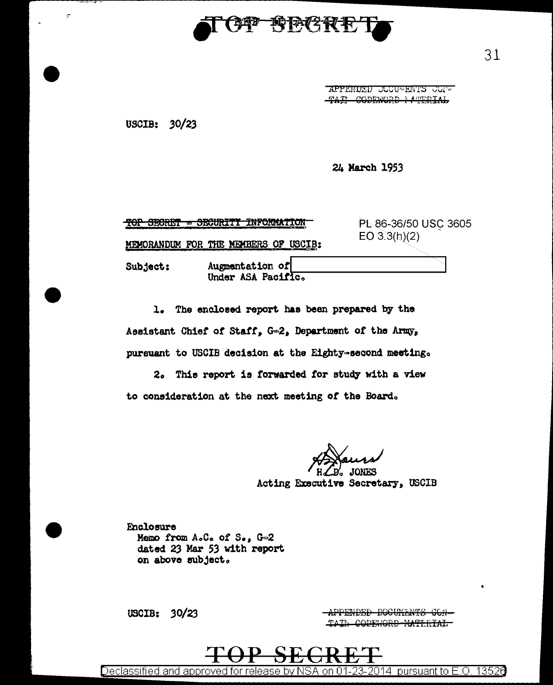

APPENDED DOCUMENTS COI-TAX CODEWORD MATERIAL

USCIB: 30/23

 $\sigma$ 

24 March 1953

| <b>MOD OMNOTE</b><br><u>tor neourer</u> | <b>COLUMNATION</b>                    | PL-86-36/50 USC 3605 |
|-----------------------------------------|---------------------------------------|----------------------|
|                                         | MEMORANDUM FOR THE MEMBERS OF USCIB:  | EO $3.3(h)(2)$       |
| Subject:                                | Augmentation of<br>Under ASA Pacific. |                      |

1. The enclosed report has been prepared by the Assistant Chief of Staff, G=2, Department of the Army, pursuant to USCIB decision at the Eighty-second meeting.

2. This report is forwarded for study with a view to consideration at the next meeting of the Board.

**JONES** 

Acting Executive Secretary, USCIB

Enclosure Memo from A.C. of S., G-2 dated 23 Mar 53 with report on above subject.

USCIB:  $30/23$ 

APPENDED DOCUMENTS CCN-TAIN CODENORD MATERIAL

13526 <u>Declassified and approved for release by NSA</u> on 01-23-2014 pursuant to  $E_{\cdot}$ O.